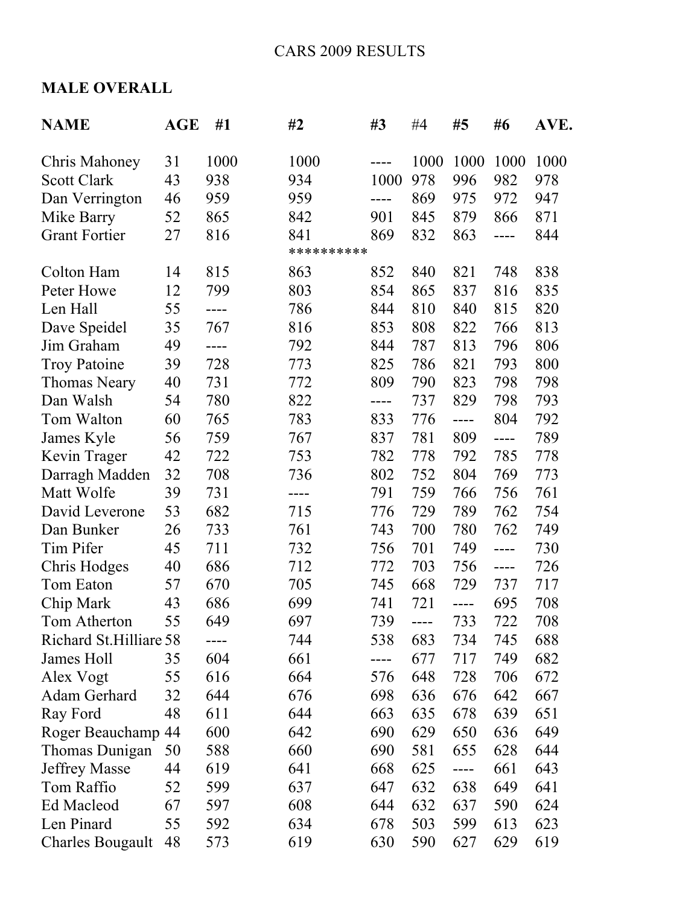## **MALE OVERALL**

| <b>NAME</b>             | <b>AGE</b> | #1   | #2         | #3   | #4   | #5   | #6    | AVE. |
|-------------------------|------------|------|------------|------|------|------|-------|------|
| <b>Chris Mahoney</b>    | 31         | 1000 | 1000       |      | 1000 | 1000 | 1000  | 1000 |
| <b>Scott Clark</b>      | 43         | 938  | 934        | 1000 | 978  | 996  | 982   | 978  |
| Dan Verrington          | 46         | 959  | 959        | ---- | 869  | 975  | 972   | 947  |
| Mike Barry              | 52         | 865  | 842        | 901  | 845  | 879  | 866   | 871  |
| <b>Grant Fortier</b>    | 27         | 816  | 841        | 869  | 832  | 863  | ----  | 844  |
|                         |            |      | ********** |      |      |      |       |      |
| Colton Ham              | 14         | 815  | 863        | 852  | 840  | 821  | 748   | 838  |
| Peter Howe              | 12         | 799  | 803        | 854  | 865  | 837  | 816   | 835  |
| Len Hall                | 55         | ---- | 786        | 844  | 810  | 840  | 815   | 820  |
| Dave Speidel            | 35         | 767  | 816        | 853  | 808  | 822  | 766   | 813  |
| Jim Graham              | 49         | ---- | 792        | 844  | 787  | 813  | 796   | 806  |
| <b>Troy Patoine</b>     | 39         | 728  | 773        | 825  | 786  | 821  | 793   | 800  |
| <b>Thomas Neary</b>     | 40         | 731  | 772        | 809  | 790  | 823  | 798   | 798  |
| Dan Walsh               | 54         | 780  | 822        | ---- | 737  | 829  | 798   | 793  |
| Tom Walton              | 60         | 765  | 783        | 833  | 776  | ---- | 804   | 792  |
| James Kyle              | 56         | 759  | 767        | 837  | 781  | 809  | ----  | 789  |
| Kevin Trager            | 42         | 722  | 753        | 782  | 778  | 792  | 785   | 778  |
| Darragh Madden          | 32         | 708  | 736        | 802  | 752  | 804  | 769   | 773  |
| Matt Wolfe              | 39         | 731  | ----       | 791  | 759  | 766  | 756   | 761  |
| David Leverone          | 53         | 682  | 715        | 776  | 729  | 789  | 762   | 754  |
| Dan Bunker              | 26         | 733  | 761        | 743  | 700  | 780  | 762   | 749  |
| Tim Pifer               | 45         | 711  | 732        | 756  | 701  | 749  | ----  | 730  |
| Chris Hodges            | 40         | 686  | 712        | 772  | 703  | 756  | $---$ | 726  |
| Tom Eaton               | 57         | 670  | 705        | 745  | 668  | 729  | 737   | 717  |
| Chip Mark               | 43         | 686  | 699        | 741  | 721  | ---- | 695   | 708  |
| Tom Atherton            | 55         | 649  | 697        | 739  | ---- | 733  | 722   | 708  |
| Richard St. Hilliare 58 |            |      | 744        | 538  | 683  | 734  | 745   | 688  |
| James Holl              | 35         | 604  | 661        | ---- | 677  | 717  | 749   | 682  |
| Alex Vogt               | 55         | 616  | 664        | 576  | 648  | 728  | 706   | 672  |
| Adam Gerhard            | 32         | 644  | 676        | 698  | 636  | 676  | 642   | 667  |
| Ray Ford                | 48         | 611  | 644        | 663  | 635  | 678  | 639   | 651  |
| Roger Beauchamp 44      |            | 600  | 642        | 690  | 629  | 650  | 636   | 649  |
| Thomas Dunigan          | 50         | 588  | 660        | 690  | 581  | 655  | 628   | 644  |
| <b>Jeffrey Masse</b>    | 44         | 619  | 641        | 668  | 625  | ---- | 661   | 643  |
| Tom Raffio              | 52         | 599  | 637        | 647  | 632  | 638  | 649   | 641  |
| Ed Macleod              | 67         | 597  | 608        | 644  | 632  | 637  | 590   | 624  |
| Len Pinard              | 55         | 592  | 634        | 678  | 503  | 599  | 613   | 623  |
| <b>Charles Bougault</b> | 48         | 573  | 619        | 630  | 590  | 627  | 629   | 619  |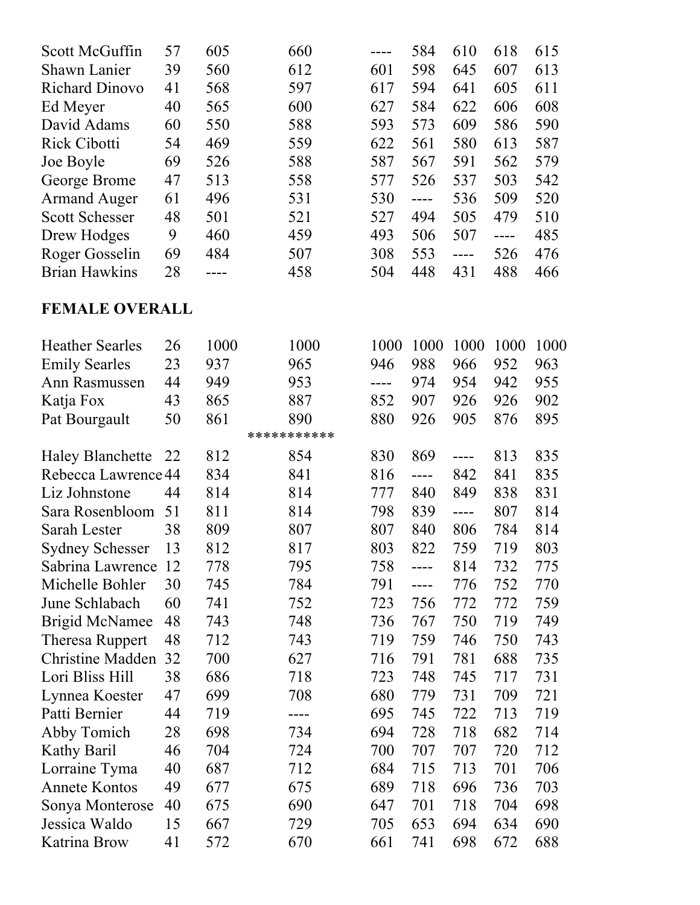| Scott McGuffin        | 57 | 605 | 660 |     | 584 | 610 | 618 | 615 |
|-----------------------|----|-----|-----|-----|-----|-----|-----|-----|
| <b>Shawn Lanier</b>   | 39 | 560 | 612 | 601 | 598 | 645 | 607 | 613 |
| <b>Richard Dinovo</b> | 41 | 568 | 597 | 617 | 594 | 641 | 605 | 611 |
| Ed Meyer              | 40 | 565 | 600 | 627 | 584 | 622 | 606 | 608 |
| David Adams           | 60 | 550 | 588 | 593 | 573 | 609 | 586 | 590 |
| <b>Rick Cibotti</b>   | 54 | 469 | 559 | 622 | 561 | 580 | 613 | 587 |
| Joe Boyle             | 69 | 526 | 588 | 587 | 567 | 591 | 562 | 579 |
| George Brome          | 47 | 513 | 558 | 577 | 526 | 537 | 503 | 542 |
| <b>Armand Auger</b>   | 61 | 496 | 531 | 530 |     | 536 | 509 | 520 |
| <b>Scott Schesser</b> | 48 | 501 | 521 | 527 | 494 | 505 | 479 | 510 |
| Drew Hodges           | 9  | 460 | 459 | 493 | 506 | 507 |     | 485 |
| Roger Gosselin        | 69 | 484 | 507 | 308 | 553 |     | 526 | 476 |
| <b>Brian Hawkins</b>  | 28 |     | 458 | 504 | 448 | 431 | 488 | 466 |

## **FEMALE OVERALL**

| <b>Heather Searles</b>  | 26 | 1000 | 1000        | 1000 | 1000  | 1000          | 1000 | 1000 |
|-------------------------|----|------|-------------|------|-------|---------------|------|------|
| <b>Emily Searles</b>    | 23 | 937  | 965         | 946  | 988   | 966           | 952  | 963  |
| Ann Rasmussen           | 44 | 949  | 953         | ---- | 974   | 954           | 942  | 955  |
| Katja Fox               | 43 | 865  | 887         | 852  | 907   | 926           | 926  | 902  |
| Pat Bourgault           | 50 | 861  | 890         | 880  | 926   | 905           | 876  | 895  |
|                         |    |      | *********** |      |       |               |      |      |
| <b>Haley Blanchette</b> | 22 | 812  | 854         | 830  | 869   | $\frac{1}{2}$ | 813  | 835  |
| Rebecca Lawrence 44     |    | 834  | 841         | 816  | ----  | 842           | 841  | 835  |
| Liz Johnstone           | 44 | 814  | 814         | 777  | 840   | 849           | 838  | 831  |
| Sara Rosenbloom         | 51 | 811  | 814         | 798  | 839   | $---$         | 807  | 814  |
| Sarah Lester            | 38 | 809  | 807         | 807  | 840   | 806           | 784  | 814  |
| <b>Sydney Schesser</b>  | 13 | 812  | 817         | 803  | 822   | 759           | 719  | 803  |
| Sabrina Lawrence        | 12 | 778  | 795         | 758  | $---$ | 814           | 732  | 775  |
| Michelle Bohler         | 30 | 745  | 784         | 791  | ----  | 776           | 752  | 770  |
| June Schlabach          | 60 | 741  | 752         | 723  | 756   | 772           | 772  | 759  |
| <b>Brigid McNamee</b>   | 48 | 743  | 748         | 736  | 767   | 750           | 719  | 749  |
| <b>Theresa Ruppert</b>  | 48 | 712  | 743         | 719  | 759   | 746           | 750  | 743  |
| <b>Christine Madden</b> | 32 | 700  | 627         | 716  | 791   | 781           | 688  | 735  |
| Lori Bliss Hill         | 38 | 686  | 718         | 723  | 748   | 745           | 717  | 731  |
| Lynnea Koester          | 47 | 699  | 708         | 680  | 779   | 731           | 709  | 721  |
| Patti Bernier           | 44 | 719  | ----        | 695  | 745   | 722           | 713  | 719  |
| Abby Tomich             | 28 | 698  | 734         | 694  | 728   | 718           | 682  | 714  |
| Kathy Baril             | 46 | 704  | 724         | 700  | 707   | 707           | 720  | 712  |
| Lorraine Tyma           | 40 | 687  | 712         | 684  | 715   | 713           | 701  | 706  |
| <b>Annete Kontos</b>    | 49 | 677  | 675         | 689  | 718   | 696           | 736  | 703  |
| Sonya Monterose         | 40 | 675  | 690         | 647  | 701   | 718           | 704  | 698  |
| Jessica Waldo           | 15 | 667  | 729         | 705  | 653   | 694           | 634  | 690  |
| Katrina Brow            | 41 | 572  | 670         | 661  | 741   | 698           | 672  | 688  |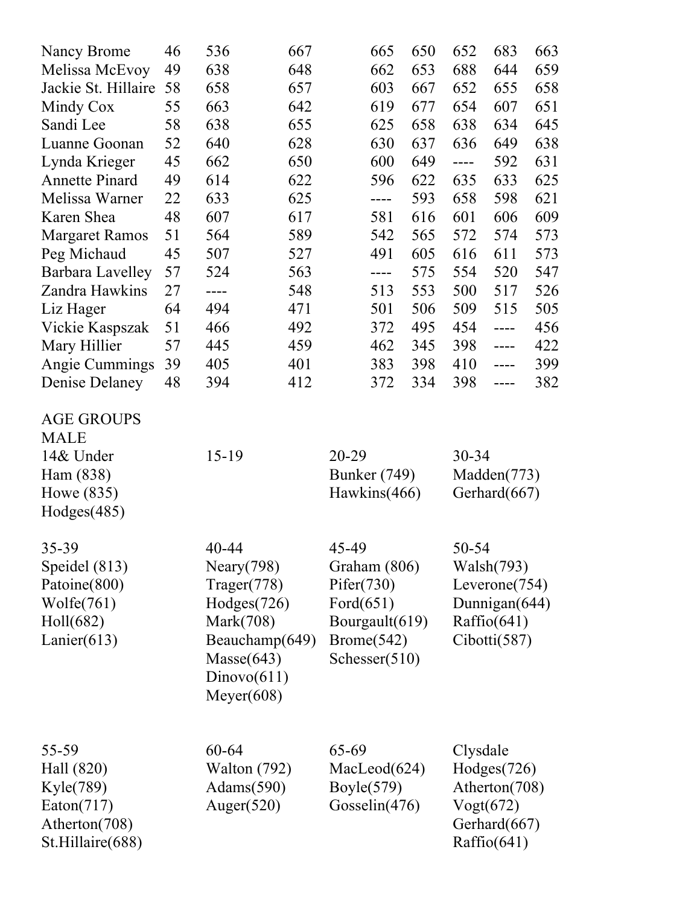| Nancy Brome                      | 46 | 536                                     | 667            | 665                            | 650 | 652       | 683                       | 663 |
|----------------------------------|----|-----------------------------------------|----------------|--------------------------------|-----|-----------|---------------------------|-----|
| Melissa McEvoy                   | 49 | 638                                     | 648            | 662                            | 653 | 688       | 644                       | 659 |
| Jackie St. Hillaire              | 58 | 658                                     | 657            | 603                            | 667 | 652       | 655                       | 658 |
| Mindy Cox                        | 55 | 663                                     | 642            | 619                            | 677 | 654       | 607                       | 651 |
| Sandi Lee                        | 58 | 638                                     | 655            | 625                            | 658 | 638       | 634                       | 645 |
| Luanne Goonan                    | 52 | 640                                     | 628            | 630                            | 637 | 636       | 649                       | 638 |
| Lynda Krieger                    | 45 | 662                                     | 650            | 600                            | 649 | ----      | 592                       | 631 |
| <b>Annette Pinard</b>            | 49 | 614                                     | 622            | 596                            | 622 | 635       | 633                       | 625 |
| Melissa Warner                   | 22 | 633                                     | 625            | ----                           | 593 | 658       | 598                       | 621 |
| Karen Shea                       | 48 | 607                                     | 617            | 581                            | 616 | 601       | 606                       | 609 |
| <b>Margaret Ramos</b>            | 51 | 564                                     | 589            | 542                            | 565 | 572       | 574                       | 573 |
| Peg Michaud                      | 45 | 507                                     | 527            | 491                            | 605 | 616       | 611                       | 573 |
| <b>Barbara Lavelley</b>          | 57 | 524                                     | 563            | ----                           | 575 | 554       | 520                       | 547 |
| Zandra Hawkins                   | 27 | ----                                    | 548            | 513                            | 553 | 500       | 517                       | 526 |
| Liz Hager                        | 64 | 494                                     | 471            | 501                            | 506 | 509       | 515                       | 505 |
| Vickie Kaspszak                  | 51 | 466                                     | 492            | 372                            | 495 | 454       | ----                      | 456 |
| Mary Hillier                     | 57 | 445                                     | 459            | 462                            | 345 | 398       | $---$                     | 422 |
| Angie Cummings                   | 39 | 405                                     | 401            | 383                            | 398 | 410       | ----                      | 399 |
| Denise Delaney                   | 48 | 394                                     | 412            | 372                            | 334 | 398       | ----                      | 382 |
| <b>AGE GROUPS</b><br><b>MALE</b> |    |                                         |                |                                |     |           |                           |     |
| 14& Under                        |    | $15-19$                                 |                | 20-29                          |     | $30 - 34$ |                           |     |
| Ham (838)                        |    |                                         |                | <b>Bunker</b> (749)            |     |           | Madden(773)               |     |
| Howe (835)                       |    |                                         |                | Hawkins(466)                   |     |           | Gerhard(667)              |     |
| Hodges(485)                      |    |                                         |                |                                |     |           |                           |     |
| 35-39                            |    | 40-44                                   |                | 45-49                          |     | 50-54     |                           |     |
| Speidel $(813)$                  |    | Neary $(798)$                           |                | Graham (806)                   |     |           | Walsh(793)                |     |
| Patoine(800)                     |    | Trager(778)                             |                | Pifer(730)                     |     |           | Leverone(754)             |     |
| Wolfe(761)                       |    | Hodges(726)                             |                | Ford $(651)$                   |     |           | Dunnigan(644)             |     |
| Holl(682)                        |    | Mark(708)                               |                | Bourgault(619)                 |     |           | Raffio(641)               |     |
| Lanier $(613)$                   |    | Masse(643)<br>Dinovo(611)<br>Meyer(608) | Beauchamp(649) | Brome(542)<br>Schesser $(510)$ |     |           | Cibotti(587)              |     |
| 55-59                            |    | 60-64                                   |                | 65-69                          |     | Clysdale  |                           |     |
| Hall (820)                       |    | Walton $(792)$                          |                | MacLeod(624)                   |     |           | Hodges(726)               |     |
| Kyle(789)                        |    | Adams $(590)$                           |                | Boyle $(579)$                  |     |           | Atherton(708)             |     |
| Eaton(717)<br>Atherton(708)      |    | Auger $(520)$                           |                | Gosselin $(476)$               |     |           | Vogt(672)<br>Gerhard(667) |     |
| St.Hillaire(688)                 |    |                                         |                |                                |     |           | Raffio(641)               |     |
|                                  |    |                                         |                |                                |     |           |                           |     |